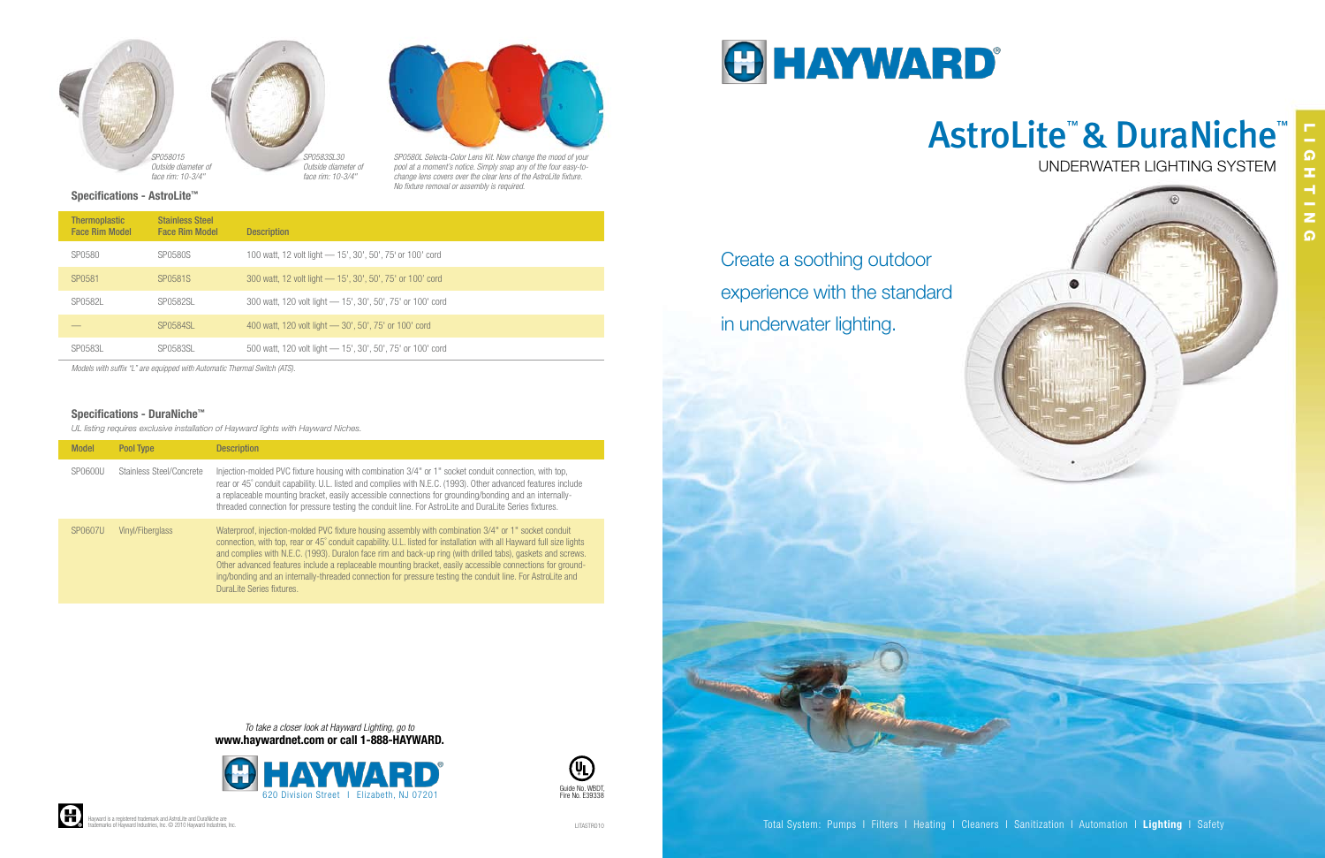

Create a soothing outdoor experience with the standard in underwater lighting.

# Underwater Lighting System AstroLite™ & DuraNiche™



Lighting

#### Specifications - DuraNiche™

*UL listing requires exclusive installation of Hayward lights with Hayward Niches.*

| <b>Model</b> | Pool Type                | <b>Description</b>                                                                                                                                                                                                                                                                                                                                                                                                                                                                                                                                                                                  |
|--------------|--------------------------|-----------------------------------------------------------------------------------------------------------------------------------------------------------------------------------------------------------------------------------------------------------------------------------------------------------------------------------------------------------------------------------------------------------------------------------------------------------------------------------------------------------------------------------------------------------------------------------------------------|
| SP0600U      | Stainless Steel/Concrete | Injection-molded PVC fixture housing with combination 3/4" or 1" socket conduit connection, with top,<br>rear or 45° conduit capability. U.L. listed and complies with N.E.C. (1993). Other advanced features include<br>a replaceable mounting bracket, easily accessible connections for grounding/bonding and an internally-<br>threaded connection for pressure testing the conduit line. For AstroLite and DuraLite Series fixtures.                                                                                                                                                           |
| SP0607U      | Vinyl/Fiberglass         | Waterproof, injection-molded PVC fixture housing assembly with combination 3/4" or 1" socket conduit<br>connection, with top, rear or 45° conduit capability. U.L. listed for installation with all Hayward full size lights<br>and complies with N.E.C. (1993). Duralon face rim and back-up ring (with drilled tabs), gaskets and screws.<br>Other advanced features include a replaceable mounting bracket, easily accessible connections for ground-<br>ing/bonding and an internally-threaded connection for pressure testing the conduit line. For AstroLite and<br>DuraLite Series fixtures. |

Specifications - AstroLite™

| <b>Thermoplastic</b><br><b>Face Rim Model</b> | <b>Stainless Steel</b><br><b>Face Rim Model</b> | <b>Description</b>                                         |
|-----------------------------------------------|-------------------------------------------------|------------------------------------------------------------|
| SP0580                                        | SP0580S                                         | 100 watt, 12 volt light — 15', 30', 50', 75' or 100' cord  |
| SP0581                                        | SP0581S                                         | 300 watt, 12 volt light — 15', 30', 50', 75' or 100' cord  |
| SP0582L                                       | SP0582SL                                        | 300 watt, 120 volt light - 15', 30', 50', 75' or 100' cord |
|                                               | <b>SP0584SL</b>                                 | 400 watt, 120 volt light - 30', 50', 75' or 100' cord      |
| SP0583L                                       | SP0583SL                                        | 500 watt, 120 volt light - 15', 30', 50', 75' or 100' cord |

*Models with suffix "L" are equipped with Automatic Thermal Switch (ATS).*





*SP0580L Selecta-Color Lens Kit. Now change the mood of your pool at a moment's notice. Simply snap any of the four easy-tochange lens covers over the clear lens of the AstroLite fixture. No fixture removal or assembly is required.*

 $\boldsymbol{\Theta}$ 

*To take a closer look at Hayward Lighting, go to* www.haywardnet.com or call 1-888-HAYWARD.